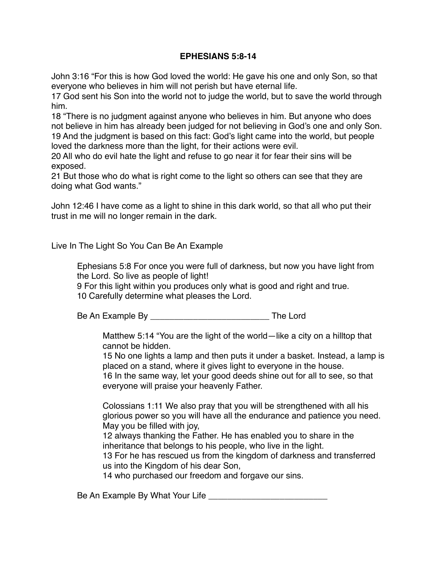## **EPHESIANS 5:8-14**

John 3:16 "For this is how God loved the world: He gave his one and only Son, so that everyone who believes in him will not perish but have eternal life.

17 God sent his Son into the world not to judge the world, but to save the world through him.

18 "There is no judgment against anyone who believes in him. But anyone who does not believe in him has already been judged for not believing in God's one and only Son. 19 And the judgment is based on this fact: God's light came into the world, but people loved the darkness more than the light, for their actions were evil.

20 All who do evil hate the light and refuse to go near it for fear their sins will be exposed.

21 But those who do what is right come to the light so others can see that they are doing what God wants."

John 12:46 I have come as a light to shine in this dark world, so that all who put their trust in me will no longer remain in the dark.

Live In The Light So You Can Be An Example

Ephesians 5:8 For once you were full of darkness, but now you have light from the Lord. So live as people of light!

9 For this light within you produces only what is good and right and true. 10 Carefully determine what pleases the Lord.

Be An Example By \_\_\_\_\_\_\_\_\_\_\_\_\_\_\_\_\_\_\_\_\_\_\_\_\_ The Lord

Matthew 5:14 "You are the light of the world—like a city on a hilltop that cannot be hidden.

15 No one lights a lamp and then puts it under a basket. Instead, a lamp is placed on a stand, where it gives light to everyone in the house.

16 In the same way, let your good deeds shine out for all to see, so that everyone will praise your heavenly Father.

Colossians 1:11 We also pray that you will be strengthened with all his glorious power so you will have all the endurance and patience you need. May you be filled with joy,

12 always thanking the Father. He has enabled you to share in the inheritance that belongs to his people, who live in the light.

13 For he has rescued us from the kingdom of darkness and transferred us into the Kingdom of his dear Son,

14 who purchased our freedom and forgave our sins.

Be An Example By What Your Life \_\_\_\_\_\_\_\_\_\_\_\_\_\_\_\_\_\_\_\_\_\_\_\_\_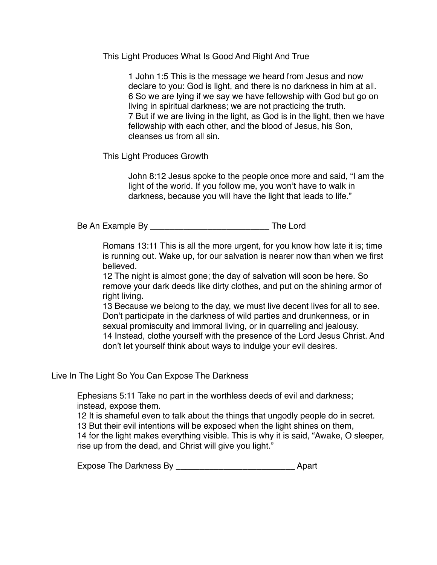This Light Produces What Is Good And Right And True

1 John 1:5 This is the message we heard from Jesus and now declare to you: God is light, and there is no darkness in him at all. 6 So we are lying if we say we have fellowship with God but go on living in spiritual darkness; we are not practicing the truth. 7 But if we are living in the light, as God is in the light, then we have fellowship with each other, and the blood of Jesus, his Son, cleanses us from all sin.

This Light Produces Growth

John 8:12 Jesus spoke to the people once more and said, "I am the light of the world. If you follow me, you won't have to walk in darkness, because you will have the light that leads to life."

Be An Example By \_\_\_\_\_\_\_\_\_\_\_\_\_\_\_\_\_\_\_\_\_\_\_\_\_ The Lord

Romans 13:11 This is all the more urgent, for you know how late it is; time is running out. Wake up, for our salvation is nearer now than when we first believed.

12 The night is almost gone; the day of salvation will soon be here. So remove your dark deeds like dirty clothes, and put on the shining armor of right living.

13 Because we belong to the day, we must live decent lives for all to see. Don't participate in the darkness of wild parties and drunkenness, or in sexual promiscuity and immoral living, or in quarreling and jealousy. 14 Instead, clothe yourself with the presence of the Lord Jesus Christ. And don't let yourself think about ways to indulge your evil desires.

Live In The Light So You Can Expose The Darkness

Ephesians 5:11 Take no part in the worthless deeds of evil and darkness; instead, expose them.

12 It is shameful even to talk about the things that ungodly people do in secret.

13 But their evil intentions will be exposed when the light shines on them,

14 for the light makes everything visible. This is why it is said, "Awake, O sleeper, rise up from the dead, and Christ will give you light."

| <b>Expose The Darkness By</b> |  | Apart |
|-------------------------------|--|-------|
|-------------------------------|--|-------|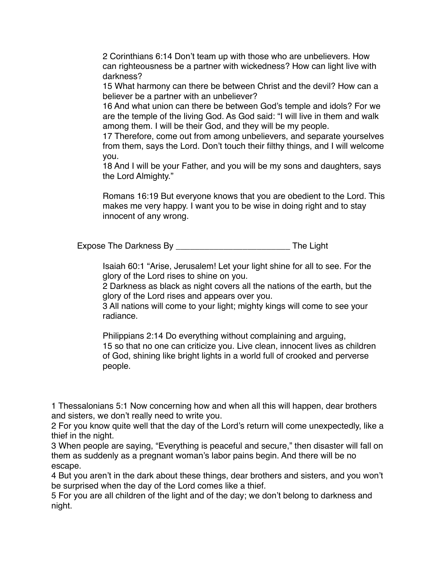2 Corinthians 6:14 Don't team up with those who are unbelievers. How can righteousness be a partner with wickedness? How can light live with darkness?

15 What harmony can there be between Christ and the devil? How can a believer be a partner with an unbeliever?

16 And what union can there be between God's temple and idols? For we are the temple of the living God. As God said: "I will live in them and walk among them. I will be their God, and they will be my people.

17 Therefore, come out from among unbelievers, and separate yourselves from them, says the Lord. Don't touch their filthy things, and I will welcome you.

18 And I will be your Father, and you will be my sons and daughters, says the Lord Almighty."

Romans 16:19 But everyone knows that you are obedient to the Lord. This makes me very happy. I want you to be wise in doing right and to stay innocent of any wrong.

Expose The Darkness By **Expose The Light** 

Isaiah 60:1 "Arise, Jerusalem! Let your light shine for all to see. For the glory of the Lord rises to shine on you.

2 Darkness as black as night covers all the nations of the earth, but the glory of the Lord rises and appears over you.

3 All nations will come to your light; mighty kings will come to see your radiance.

Philippians 2:14 Do everything without complaining and arguing, 15 so that no one can criticize you. Live clean, innocent lives as children of God, shining like bright lights in a world full of crooked and perverse people.

1 Thessalonians 5:1 Now concerning how and when all this will happen, dear brothers and sisters, we don't really need to write you.

2 For you know quite well that the day of the Lord's return will come unexpectedly, like a thief in the night.

3 When people are saying, "Everything is peaceful and secure," then disaster will fall on them as suddenly as a pregnant woman's labor pains begin. And there will be no escape.

4 But you aren't in the dark about these things, dear brothers and sisters, and you won't be surprised when the day of the Lord comes like a thief.

5 For you are all children of the light and of the day; we don't belong to darkness and night.